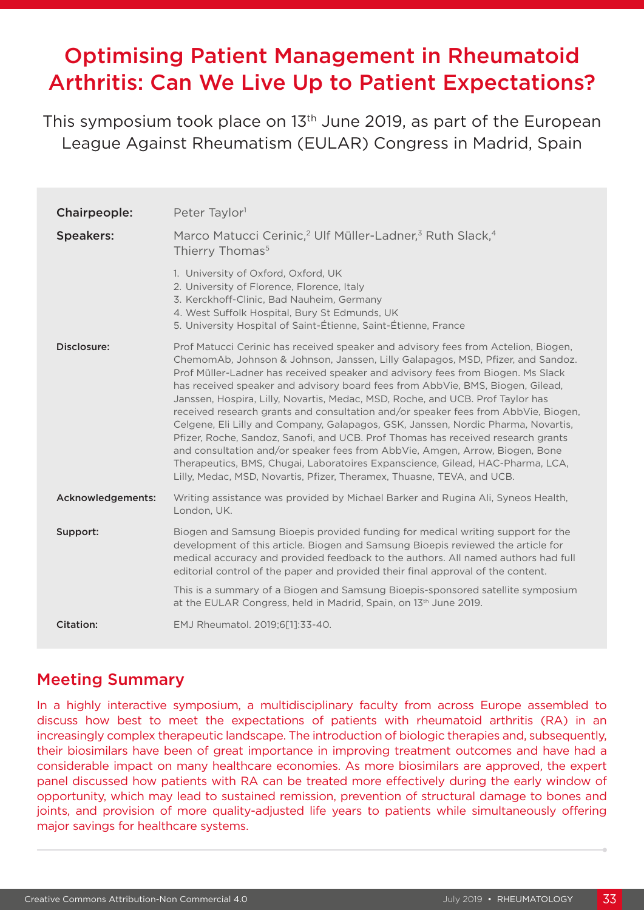# Optimising Patient Management in Rheumatoid Arthritis: Can We Live Up to Patient Expectations?

This symposium took place on 13<sup>th</sup> June 2019, as part of the European League Against Rheumatism (EULAR) Congress in Madrid, Spain

| Chairpeople:      | Peter Taylor <sup>1</sup>                                                                                                                                                                                                                                                                                                                                                                                                                                                                                                                                                                                                                                                                                                                                                                                                                                                                                                               |
|-------------------|-----------------------------------------------------------------------------------------------------------------------------------------------------------------------------------------------------------------------------------------------------------------------------------------------------------------------------------------------------------------------------------------------------------------------------------------------------------------------------------------------------------------------------------------------------------------------------------------------------------------------------------------------------------------------------------------------------------------------------------------------------------------------------------------------------------------------------------------------------------------------------------------------------------------------------------------|
| <b>Speakers:</b>  | Marco Matucci Cerinic, <sup>2</sup> Ulf Müller-Ladner, <sup>3</sup> Ruth Slack, <sup>4</sup><br>Thierry Thomas <sup>5</sup>                                                                                                                                                                                                                                                                                                                                                                                                                                                                                                                                                                                                                                                                                                                                                                                                             |
|                   | 1. University of Oxford, Oxford, UK<br>2. University of Florence, Florence, Italy<br>3. Kerckhoff-Clinic, Bad Nauheim, Germany<br>4. West Suffolk Hospital, Bury St Edmunds, UK<br>5. University Hospital of Saint-Étienne, Saint-Étienne, France                                                                                                                                                                                                                                                                                                                                                                                                                                                                                                                                                                                                                                                                                       |
| Disclosure:       | Prof Matucci Cerinic has received speaker and advisory fees from Actelion, Biogen,<br>ChemomAb, Johnson & Johnson, Janssen, Lilly Galapagos, MSD, Pfizer, and Sandoz.<br>Prof Müller-Ladner has received speaker and advisory fees from Biogen. Ms Slack<br>has received speaker and advisory board fees from AbbVie, BMS, Biogen, Gilead,<br>Janssen, Hospira, Lilly, Novartis, Medac, MSD, Roche, and UCB. Prof Taylor has<br>received research grants and consultation and/or speaker fees from AbbVie, Biogen,<br>Celgene, Eli Lilly and Company, Galapagos, GSK, Janssen, Nordic Pharma, Novartis,<br>Pfizer, Roche, Sandoz, Sanofi, and UCB. Prof Thomas has received research grants<br>and consultation and/or speaker fees from AbbVie, Amgen, Arrow, Biogen, Bone<br>Therapeutics, BMS, Chugai, Laboratoires Expanscience, Gilead, HAC-Pharma, LCA,<br>Lilly, Medac, MSD, Novartis, Pfizer, Theramex, Thuasne, TEVA, and UCB. |
| Acknowledgements: | Writing assistance was provided by Michael Barker and Rugina Ali, Syneos Health,<br>London, UK.                                                                                                                                                                                                                                                                                                                                                                                                                                                                                                                                                                                                                                                                                                                                                                                                                                         |
| Support:          | Biogen and Samsung Bioepis provided funding for medical writing support for the<br>development of this article. Biogen and Samsung Bioepis reviewed the article for<br>medical accuracy and provided feedback to the authors. All named authors had full<br>editorial control of the paper and provided their final approval of the content.                                                                                                                                                                                                                                                                                                                                                                                                                                                                                                                                                                                            |
|                   | This is a summary of a Biogen and Samsung Bioepis-sponsored satellite symposium<br>at the EULAR Congress, held in Madrid, Spain, on 13 <sup>th</sup> June 2019.                                                                                                                                                                                                                                                                                                                                                                                                                                                                                                                                                                                                                                                                                                                                                                         |
| <b>Citation:</b>  | EMJ Rheumatol. 2019;6[1]:33-40.                                                                                                                                                                                                                                                                                                                                                                                                                                                                                                                                                                                                                                                                                                                                                                                                                                                                                                         |

## Meeting Summary

In a highly interactive symposium, a multidisciplinary faculty from across Europe assembled to discuss how best to meet the expectations of patients with rheumatoid arthritis (RA) in an increasingly complex therapeutic landscape. The introduction of biologic therapies and, subsequently, their biosimilars have been of great importance in improving treatment outcomes and have had a considerable impact on many healthcare economies. As more biosimilars are approved, the expert panel discussed how patients with RA can be treated more effectively during the early window of opportunity, which may lead to sustained remission, prevention of structural damage to bones and joints, and provision of more quality-adjusted life years to patients while simultaneously offering major savings for healthcare systems.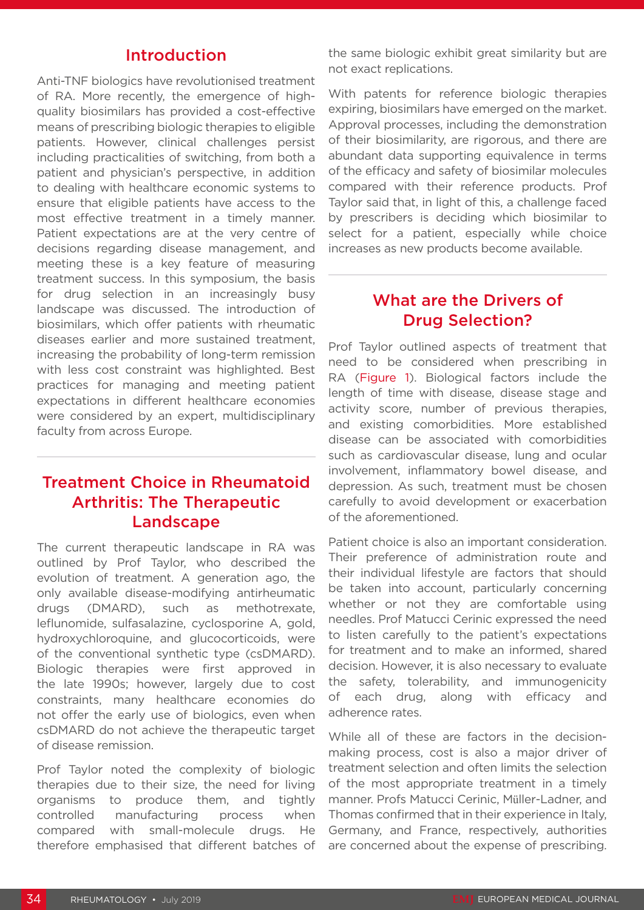#### Introduction

Anti-TNF biologics have revolutionised treatment of RA. More recently, the emergence of highquality biosimilars has provided a cost-effective means of prescribing biologic therapies to eligible patients. However, clinical challenges persist including practicalities of switching, from both a patient and physician's perspective, in addition to dealing with healthcare economic systems to ensure that eligible patients have access to the most effective treatment in a timely manner. Patient expectations are at the very centre of decisions regarding disease management, and meeting these is a key feature of measuring treatment success. In this symposium, the basis for drug selection in an increasingly busy landscape was discussed. The introduction of biosimilars, which offer patients with rheumatic diseases earlier and more sustained treatment, increasing the probability of long-term remission with less cost constraint was highlighted. Best practices for managing and meeting patient expectations in different healthcare economies were considered by an expert, multidisciplinary faculty from across Europe.

#### Treatment Choice in Rheumatoid Arthritis: The Therapeutic Landscape

The current therapeutic landscape in RA was outlined by Prof Taylor, who described the evolution of treatment. A generation ago, the only available disease-modifying antirheumatic drugs (DMARD), such as methotrexate, leflunomide, sulfasalazine, cyclosporine A, gold, hydroxychloroquine, and glucocorticoids, were of the conventional synthetic type (csDMARD). Biologic therapies were first approved in the late 1990s; however, largely due to cost constraints, many healthcare economies do not offer the early use of biologics, even when csDMARD do not achieve the therapeutic target of disease remission.

Prof Taylor noted the complexity of biologic therapies due to their size, the need for living organisms to produce them, and tightly controlled manufacturing process when compared with small-molecule drugs. He therefore emphasised that different batches of

the same biologic exhibit great similarity but are not exact replications.

With patents for reference biologic therapies expiring, biosimilars have emerged on the market. Approval processes, including the demonstration of their biosimilarity, are rigorous, and there are abundant data supporting equivalence in terms of the efficacy and safety of biosimilar molecules compared with their reference products. Prof Taylor said that, in light of this, a challenge faced by prescribers is deciding which biosimilar to select for a patient, especially while choice increases as new products become available.

#### What are the Drivers of Drug Selection?

Prof Taylor outlined aspects of treatment that need to be considered when prescribing in RA (Figure 1). Biological factors include the length of time with disease, disease stage and activity score, number of previous therapies, and existing comorbidities. More established disease can be associated with comorbidities such as cardiovascular disease, lung and ocular involvement, inflammatory bowel disease, and depression. As such, treatment must be chosen carefully to avoid development or exacerbation of the aforementioned.

Patient choice is also an important consideration. Their preference of administration route and their individual lifestyle are factors that should be taken into account, particularly concerning whether or not they are comfortable using needles. Prof Matucci Cerinic expressed the need to listen carefully to the patient's expectations for treatment and to make an informed, shared decision. However, it is also necessary to evaluate the safety, tolerability, and immunogenicity of each drug, along with efficacy and adherence rates.

While all of these are factors in the decisionmaking process, cost is also a major driver of treatment selection and often limits the selection of the most appropriate treatment in a timely manner. Profs Matucci Cerinic, Müller-Ladner, and Thomas confirmed that in their experience in Italy, Germany, and France, respectively, authorities are concerned about the expense of prescribing.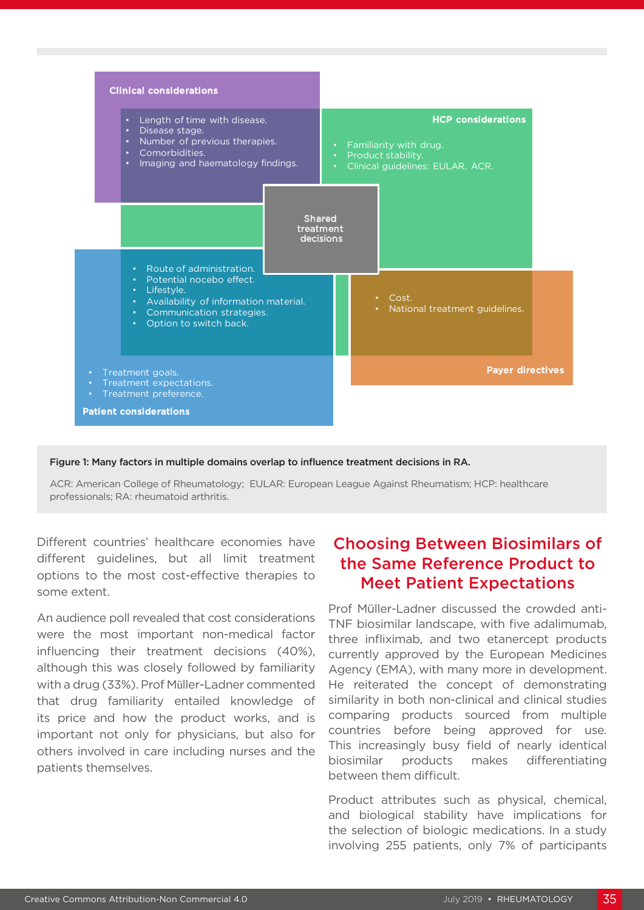

Figure 1: Many factors in multiple domains overlap to influence treatment decisions in RA.

ACR: American College of Rheumatology; EULAR: European League Against Rheumatism; HCP: healthcare professionals; RA: rheumatoid arthritis.

Different countries' healthcare economies have different guidelines, but all limit treatment options to the most cost-effective therapies to some extent.

An audience poll revealed that cost considerations were the most important non-medical factor influencing their treatment decisions (40%), although this was closely followed by familiarity with a drug (33%). Prof Müller-Ladner commented that drug familiarity entailed knowledge of its price and how the product works, and is important not only for physicians, but also for others involved in care including nurses and the patients themselves.

## Choosing Between Biosimilars of the Same Reference Product to Meet Patient Expectations

Prof Müller-Ladner discussed the crowded anti-TNF biosimilar landscape, with five adalimumab, three infliximab, and two etanercept products currently approved by the European Medicines Agency (EMA), with many more in development. He reiterated the concept of demonstrating similarity in both non-clinical and clinical studies comparing products sourced from multiple countries before being approved for use. This increasingly busy field of nearly identical biosimilar products makes differentiating between them difficult.

Product attributes such as physical, chemical, and biological stability have implications for the selection of biologic medications. In a study involving 255 patients, only 7% of participants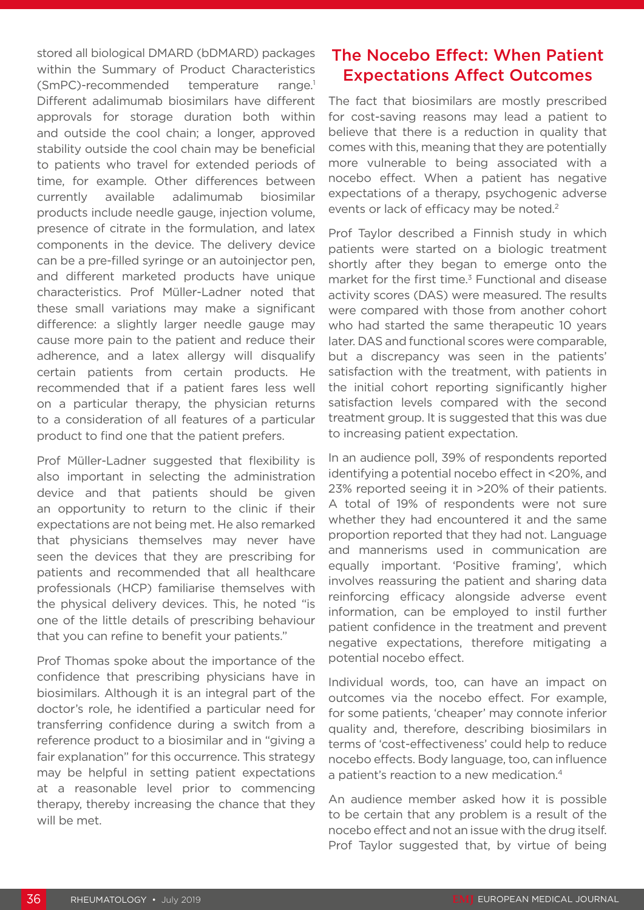stored all biological DMARD (bDMARD) packages within the Summary of Product Characteristics (SmPC)-recommended temperature range.1 Different adalimumab biosimilars have different approvals for storage duration both within and outside the cool chain; a longer, approved stability outside the cool chain may be beneficial to patients who travel for extended periods of time, for example. Other differences between currently available adalimumab biosimilar products include needle gauge, injection volume, presence of citrate in the formulation, and latex components in the device. The delivery device can be a pre-filled syringe or an autoinjector pen, and different marketed products have unique characteristics. Prof Müller-Ladner noted that these small variations may make a significant difference: a slightly larger needle gauge may cause more pain to the patient and reduce their adherence, and a latex allergy will disqualify certain patients from certain products. He recommended that if a patient fares less well on a particular therapy, the physician returns to a consideration of all features of a particular product to find one that the patient prefers.

Prof Müller-Ladner suggested that flexibility is also important in selecting the administration device and that patients should be given an opportunity to return to the clinic if their expectations are not being met. He also remarked that physicians themselves may never have seen the devices that they are prescribing for patients and recommended that all healthcare professionals (HCP) familiarise themselves with the physical delivery devices. This, he noted "is one of the little details of prescribing behaviour that you can refine to benefit your patients."

Prof Thomas spoke about the importance of the confidence that prescribing physicians have in biosimilars. Although it is an integral part of the doctor's role, he identified a particular need for transferring confidence during a switch from a reference product to a biosimilar and in "giving a fair explanation" for this occurrence. This strategy may be helpful in setting patient expectations at a reasonable level prior to commencing therapy, thereby increasing the chance that they will be met.

## The Nocebo Effect: When Patient Expectations Affect Outcomes

The fact that biosimilars are mostly prescribed for cost-saving reasons may lead a patient to believe that there is a reduction in quality that comes with this, meaning that they are potentially more vulnerable to being associated with a nocebo effect. When a patient has negative expectations of a therapy, psychogenic adverse events or lack of efficacy may be noted.<sup>2</sup>

Prof Taylor described a Finnish study in which patients were started on a biologic treatment shortly after they began to emerge onto the market for the first time.<sup>3</sup> Functional and disease activity scores (DAS) were measured. The results were compared with those from another cohort who had started the same therapeutic 10 years later. DAS and functional scores were comparable, but a discrepancy was seen in the patients' satisfaction with the treatment, with patients in the initial cohort reporting significantly higher satisfaction levels compared with the second treatment group. It is suggested that this was due to increasing patient expectation.

In an audience poll, 39% of respondents reported identifying a potential nocebo effect in <20%, and 23% reported seeing it in >20% of their patients. A total of 19% of respondents were not sure whether they had encountered it and the same proportion reported that they had not. Language and mannerisms used in communication are equally important. 'Positive framing', which involves reassuring the patient and sharing data reinforcing efficacy alongside adverse event information, can be employed to instil further patient confidence in the treatment and prevent negative expectations, therefore mitigating a potential nocebo effect.

Individual words, too, can have an impact on outcomes via the nocebo effect. For example, for some patients, 'cheaper' may connote inferior quality and, therefore, describing biosimilars in terms of 'cost-effectiveness' could help to reduce nocebo effects. Body language, too, can influence a patient's reaction to a new medication.<sup>4</sup>

An audience member asked how it is possible to be certain that any problem is a result of the nocebo effect and not an issue with the drug itself. Prof Taylor suggested that, by virtue of being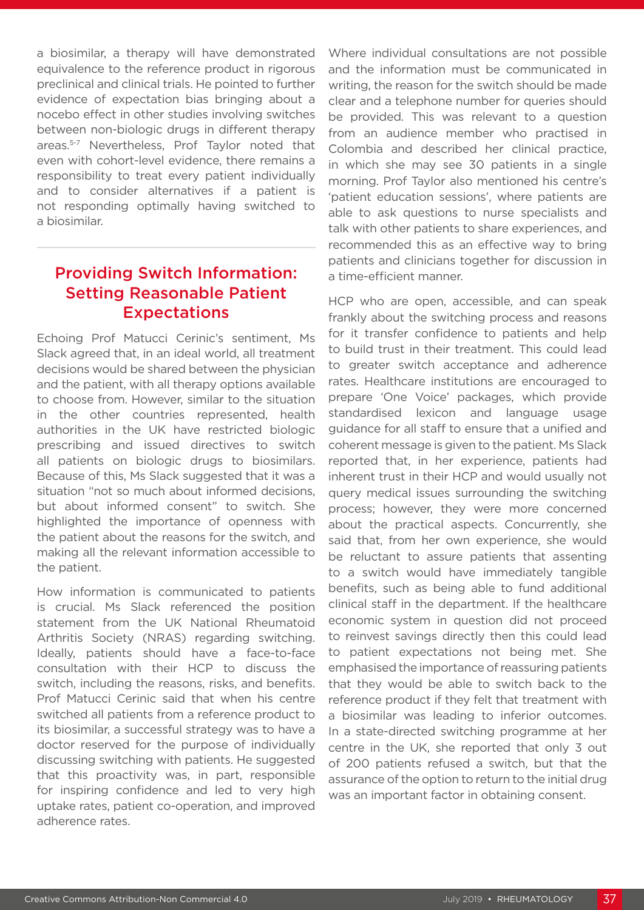a biosimilar, a therapy will have demonstrated equivalence to the reference product in rigorous preclinical and clinical trials. He pointed to further evidence of expectation bias bringing about a nocebo effect in other studies involving switches between non-biologic drugs in different therapy areas.5-7 Nevertheless, Prof Taylor noted that even with cohort-level evidence, there remains a responsibility to treat every patient individually and to consider alternatives if a patient is not responding optimally having switched to a biosimilar.

# Providing Switch Information: Setting Reasonable Patient Expectations

Echoing Prof Matucci Cerinic's sentiment, Ms Slack agreed that, in an ideal world, all treatment decisions would be shared between the physician and the patient, with all therapy options available to choose from. However, similar to the situation in the other countries represented, health authorities in the UK have restricted biologic prescribing and issued directives to switch all patients on biologic drugs to biosimilars. Because of this, Ms Slack suggested that it was a situation "not so much about informed decisions, but about informed consent" to switch. She highlighted the importance of openness with the patient about the reasons for the switch, and making all the relevant information accessible to the patient.

How information is communicated to patients is crucial. Ms Slack referenced the position statement from the UK National Rheumatoid Arthritis Society (NRAS) regarding switching. Ideally, patients should have a face-to-face consultation with their HCP to discuss the switch, including the reasons, risks, and benefits. Prof Matucci Cerinic said that when his centre switched all patients from a reference product to its biosimilar, a successful strategy was to have a doctor reserved for the purpose of individually discussing switching with patients. He suggested that this proactivity was, in part, responsible for inspiring confidence and led to very high uptake rates, patient co-operation, and improved adherence rates.

Where individual consultations are not possible and the information must be communicated in writing, the reason for the switch should be made clear and a telephone number for queries should be provided. This was relevant to a question from an audience member who practised in Colombia and described her clinical practice, in which she may see 30 patients in a single morning. Prof Taylor also mentioned his centre's 'patient education sessions', where patients are able to ask questions to nurse specialists and talk with other patients to share experiences, and recommended this as an effective way to bring patients and clinicians together for discussion in a time-efficient manner.

HCP who are open, accessible, and can speak frankly about the switching process and reasons for it transfer confidence to patients and help to build trust in their treatment. This could lead to greater switch acceptance and adherence rates. Healthcare institutions are encouraged to prepare 'One Voice' packages, which provide standardised lexicon and language usage guidance for all staff to ensure that a unified and coherent message is given to the patient. Ms Slack reported that, in her experience, patients had inherent trust in their HCP and would usually not query medical issues surrounding the switching process; however, they were more concerned about the practical aspects. Concurrently, she said that, from her own experience, she would be reluctant to assure patients that assenting to a switch would have immediately tangible benefits, such as being able to fund additional clinical staff in the department. If the healthcare economic system in question did not proceed to reinvest savings directly then this could lead to patient expectations not being met. She emphasised the importance of reassuring patients that they would be able to switch back to the reference product if they felt that treatment with a biosimilar was leading to inferior outcomes. In a state-directed switching programme at her centre in the UK, she reported that only 3 out of 200 patients refused a switch, but that the assurance of the option to return to the initial drug was an important factor in obtaining consent.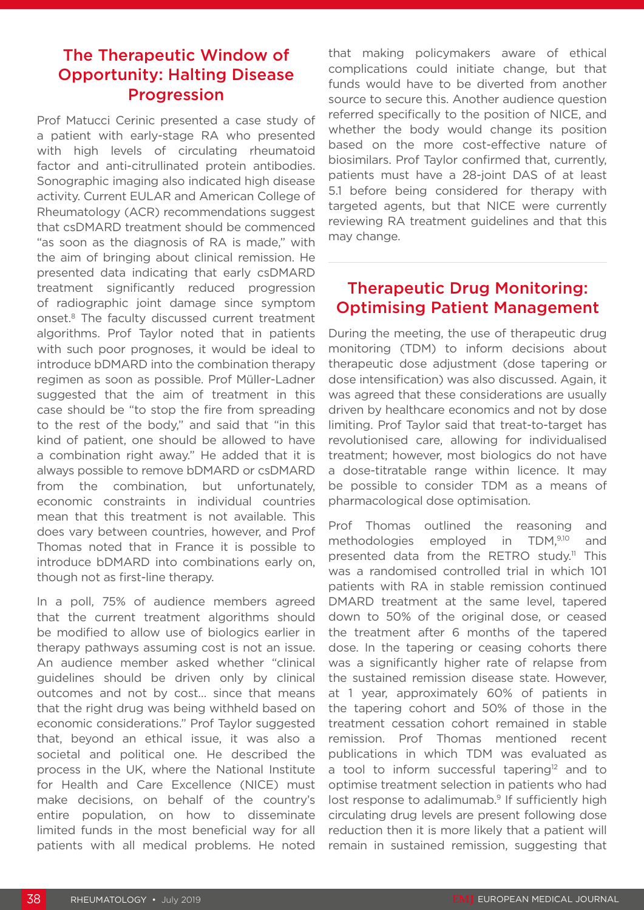## The Therapeutic Window of Opportunity: Halting Disease Progression

Prof Matucci Cerinic presented a case study of a patient with early-stage RA who presented with high levels of circulating rheumatoid factor and anti-citrullinated protein antibodies. Sonographic imaging also indicated high disease activity. Current EULAR and American College of Rheumatology (ACR) recommendations suggest that csDMARD treatment should be commenced "as soon as the diagnosis of RA is made," with the aim of bringing about clinical remission. He presented data indicating that early csDMARD treatment significantly reduced progression of radiographic joint damage since symptom onset.8 The faculty discussed current treatment algorithms. Prof Taylor noted that in patients with such poor prognoses, it would be ideal to introduce bDMARD into the combination therapy regimen as soon as possible. Prof Müller-Ladner suggested that the aim of treatment in this case should be "to stop the fire from spreading to the rest of the body," and said that "in this kind of patient, one should be allowed to have a combination right away." He added that it is always possible to remove bDMARD or csDMARD from the combination, but unfortunately, economic constraints in individual countries mean that this treatment is not available. This does vary between countries, however, and Prof Thomas noted that in France it is possible to introduce bDMARD into combinations early on, though not as first-line therapy.

In a poll, 75% of audience members agreed that the current treatment algorithms should be modified to allow use of biologics earlier in therapy pathways assuming cost is not an issue. An audience member asked whether "clinical guidelines should be driven only by clinical outcomes and not by cost… since that means that the right drug was being withheld based on economic considerations." Prof Taylor suggested that, beyond an ethical issue, it was also a societal and political one. He described the process in the UK, where the National Institute for Health and Care Excellence (NICE) must make decisions, on behalf of the country's entire population, on how to disseminate limited funds in the most beneficial way for all patients with all medical problems. He noted

that making policymakers aware of ethical complications could initiate change, but that funds would have to be diverted from another source to secure this. Another audience question referred specifically to the position of NICE, and whether the body would change its position based on the more cost-effective nature of biosimilars. Prof Taylor confirmed that, currently, patients must have a 28-joint DAS of at least 5.1 before being considered for therapy with targeted agents, but that NICE were currently reviewing RA treatment guidelines and that this may change.

# Therapeutic Drug Monitoring: Optimising Patient Management

During the meeting, the use of therapeutic drug monitoring (TDM) to inform decisions about therapeutic dose adjustment (dose tapering or dose intensification) was also discussed. Again, it was agreed that these considerations are usually driven by healthcare economics and not by dose limiting. Prof Taylor said that treat-to-target has revolutionised care, allowing for individualised treatment; however, most biologics do not have a dose-titratable range within licence. It may be possible to consider TDM as a means of pharmacological dose optimisation.

Prof Thomas outlined the reasoning and methodologies employed in TDM,<sup>9,10</sup> and presented data from the RETRO study.<sup>11</sup> This was a randomised controlled trial in which 101 patients with RA in stable remission continued DMARD treatment at the same level, tapered down to 50% of the original dose, or ceased the treatment after 6 months of the tapered dose. In the tapering or ceasing cohorts there was a significantly higher rate of relapse from the sustained remission disease state. However, at 1 year, approximately 60% of patients in the tapering cohort and 50% of those in the treatment cessation cohort remained in stable remission. Prof Thomas mentioned recent publications in which TDM was evaluated as a tool to inform successful tapering<sup>12</sup> and to optimise treatment selection in patients who had lost response to adalimumab.<sup>9</sup> If sufficiently high circulating drug levels are present following dose reduction then it is more likely that a patient will remain in sustained remission, suggesting that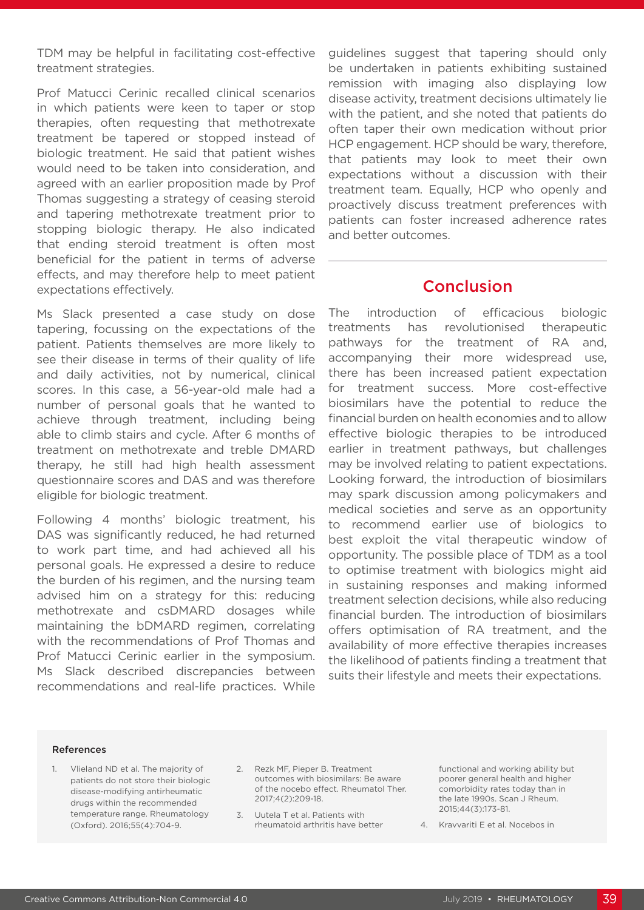TDM may be helpful in facilitating cost-effective treatment strategies.

Prof Matucci Cerinic recalled clinical scenarios in which patients were keen to taper or stop therapies, often requesting that methotrexate treatment be tapered or stopped instead of biologic treatment. He said that patient wishes would need to be taken into consideration, and agreed with an earlier proposition made by Prof Thomas suggesting a strategy of ceasing steroid and tapering methotrexate treatment prior to stopping biologic therapy. He also indicated that ending steroid treatment is often most beneficial for the patient in terms of adverse effects, and may therefore help to meet patient expectations effectively.

Ms Slack presented a case study on dose tapering, focussing on the expectations of the patient. Patients themselves are more likely to see their disease in terms of their quality of life and daily activities, not by numerical, clinical scores. In this case, a 56-year-old male had a number of personal goals that he wanted to achieve through treatment, including being able to climb stairs and cycle. After 6 months of treatment on methotrexate and treble DMARD therapy, he still had high health assessment questionnaire scores and DAS and was therefore eligible for biologic treatment.

Following 4 months' biologic treatment, his DAS was significantly reduced, he had returned to work part time, and had achieved all his personal goals. He expressed a desire to reduce the burden of his regimen, and the nursing team advised him on a strategy for this: reducing methotrexate and csDMARD dosages while maintaining the bDMARD regimen, correlating with the recommendations of Prof Thomas and Prof Matucci Cerinic earlier in the symposium. Ms Slack described discrepancies between recommendations and real-life practices. While

guidelines suggest that tapering should only be undertaken in patients exhibiting sustained remission with imaging also displaying low disease activity, treatment decisions ultimately lie with the patient, and she noted that patients do often taper their own medication without prior HCP engagement. HCP should be wary, therefore, that patients may look to meet their own expectations without a discussion with their treatment team. Equally, HCP who openly and proactively discuss treatment preferences with patients can foster increased adherence rates and better outcomes.

#### Conclusion

The introduction of efficacious biologic treatments has revolutionised therapeutic pathways for the treatment of RA and, accompanying their more widespread use, there has been increased patient expectation for treatment success. More cost-effective biosimilars have the potential to reduce the financial burden on health economies and to allow effective biologic therapies to be introduced earlier in treatment pathways, but challenges may be involved relating to patient expectations. Looking forward, the introduction of biosimilars may spark discussion among policymakers and medical societies and serve as an opportunity to recommend earlier use of biologics to best exploit the vital therapeutic window of opportunity. The possible place of TDM as a tool to optimise treatment with biologics might aid in sustaining responses and making informed treatment selection decisions, while also reducing financial burden. The introduction of biosimilars offers optimisation of RA treatment, and the availability of more effective therapies increases the likelihood of patients finding a treatment that suits their lifestyle and meets their expectations.

#### References

- 1. Vlieland ND et al. The majority of patients do not store their biologic disease-modifying antirheumatic drugs within the recommended temperature range. Rheumatology (Oxford). 2016;55(4):704-9.
- 2. Rezk MF, Pieper B. Treatment outcomes with biosimilars: Be aware of the nocebo effect. Rheumatol Ther. 2017;4(2):209-18.
- 3. Uutela T et al. Patients with rheumatoid arthritis have better

functional and working ability but poorer general health and higher comorbidity rates today than in the late 1990s. Scan J Rheum. 2015;44(3):173-81.

4. Kravvariti E et al. Nocebos in